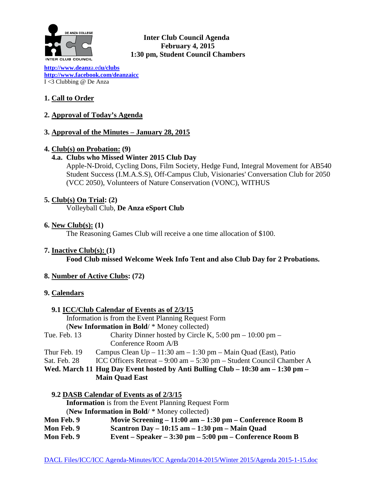

**Inter Club Council Agenda February 4, 2015 1:30 pm, Student Council Chambers** 

**[http://www.deanz](http://www.deanza.edu/clubs)**a.ed**u/clubs [http://www.facebook.com/deanzaicc](http://www.facebook.com/home.php%23!/group.php?gid=59034552686)** I <3 Clubbing @ De Anza

# **1. Call to Order**

## **2. Approval of Today's Agenda**

## **3. Approval of the Minutes – January 28, 2015**

### **4. Club(s) on Probation: (9)**

### **4.a. Clubs who Missed Winter 2015 Club Day**

Apple-N-Droid, Cycling Dons, Film Society, Hedge Fund, Integral Movement for AB540 Student Success (I.M.A.S.S), Off-Campus Club, Visionaries' Conversation Club for 2050 (VCC 2050), Volunteers of Nature Conservation (VONC), WITHUS

### **5. Club(s) On Trial: (2)**

Volleyball Club, **De Anza eSport Club**

#### **6. New Club(s): (1)**

The Reasoning Games Club will receive a one time allocation of \$100.

**7. Inactive Club(s): (1)**

**Food Club missed Welcome Week Info Tent and also Club Day for 2 Probations.**

### **8. Number of Active Clubs: (72)**

### **9. Calendars**

|              | 9.1 ICC/Club Calendar of Events as of 2/3/15                                       |
|--------------|------------------------------------------------------------------------------------|
|              | Information is from the Event Planning Request Form                                |
|              | (New Information in Bold/ * Money collected)                                       |
| Tue. Feb. 13 | Charity Dinner hosted by Circle K, $5:00 \text{ pm} - 10:00 \text{ pm} -$          |
|              | Conference Room A/B                                                                |
| Thur Feb. 19 | Campus Clean $Up - 11:30$ am $- 1:30$ pm $-$ Main Quad (East), Patio               |
| Sat. Feb. 28 | ICC Officers Retreat – 9:00 am – 5:30 pm – Student Council Chamber A               |
|              | Wed. March 11 Hug Day Event hosted by Anti Bulling Club – $10:30$ am – $1:30$ pm – |
|              | <b>Main Quad East</b>                                                              |
|              | 9.2 DASB Calendar of Events as of 2/3/15                                           |
|              | <b>Information</b> is from the Event Planning Request Form                         |

(**New Information in Bold**/ \* Money collected)

| Mon Feb. 9 | Movie Screening $-11:00$ am $-1:30$ pm $-$ Conference Room B |
|------------|--------------------------------------------------------------|
| Mon Feb. 9 | Scantron Day $-10:15$ am $-1:30$ pm $-$ Main Quad            |
| Mon Feb. 9 | Event – Speaker – $3:30$ pm – $5:00$ pm – Conference Room B  |